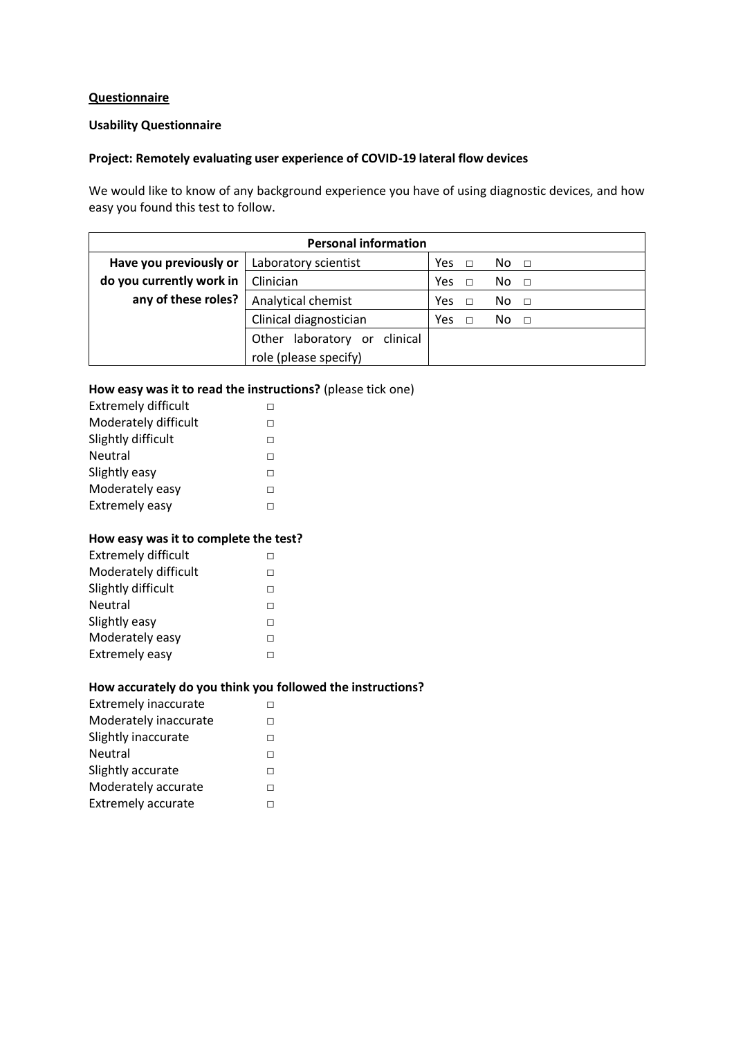# **Questionnaire**

#### **Usability Questionnaire**

## **Project: Remotely evaluating user experience of COVID-19 lateral flow devices**

We would like to know of any background experience you have of using diagnostic devices, and how easy you found this test to follow.

| <b>Personal information</b> |                                    |                 |               |  |
|-----------------------------|------------------------------------|-----------------|---------------|--|
| Have you previously or      | Laboratory scientist               | <b>Yes</b><br>П | No.<br>$\Box$ |  |
| do you currently work in    | Clinician                          | Yes             | No.<br>$\Box$ |  |
| any of these roles?         | Analytical chemist                 | Yes<br>П        | No.<br>$\Box$ |  |
|                             | Clinical diagnostician             | Yes<br>П        | No.<br>$\Box$ |  |
|                             | clinical<br>laboratory or<br>Other |                 |               |  |
|                             | role (please specify)              |                 |               |  |

## **How easy was it to read the instructions?** (please tick one)

| <b>Extremely difficult</b> |  |
|----------------------------|--|
| Moderately difficult       |  |
| Slightly difficult         |  |
| Neutral                    |  |
| Slightly easy              |  |
| Moderately easy            |  |
| <b>Extremely easy</b>      |  |

#### **How easy was it to complete the test?**

## **How accurately do you think you followed the instructions?**

| <b>Extremely inaccurate</b> |  |
|-----------------------------|--|
| Moderately inaccurate       |  |
| Slightly inaccurate         |  |
| Neutral                     |  |
| Slightly accurate           |  |
| Moderately accurate         |  |
| <b>Extremely accurate</b>   |  |